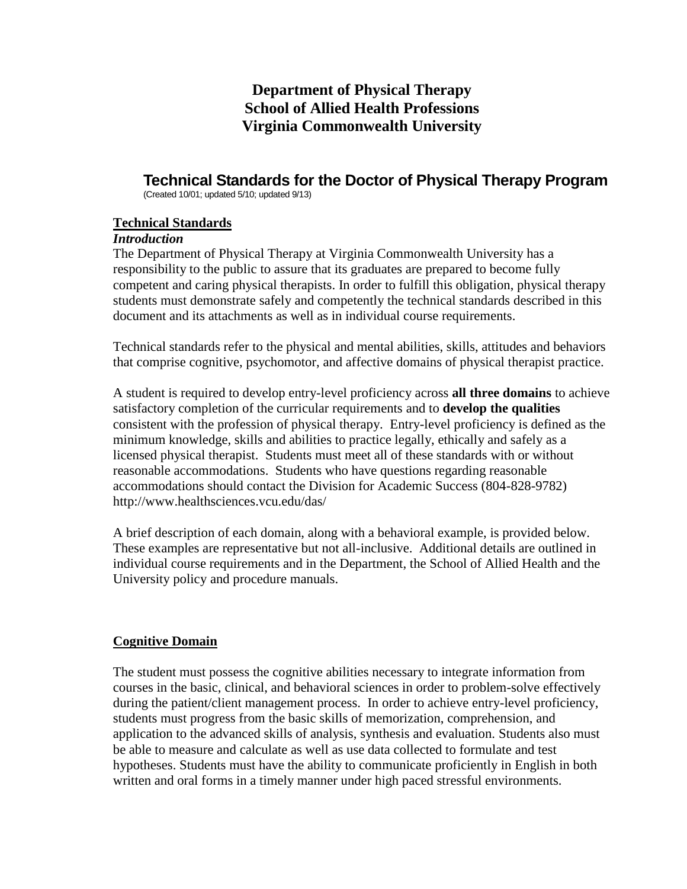# **Department of Physical Therapy School of Allied Health Professions Virginia Commonwealth University**

# **Technical Standards for the Doctor of Physical Therapy Program**

(Created 10/01; updated 5/10; updated 9/13)

#### **Technical Standards**

#### *Introduction*

The Department of Physical Therapy at Virginia Commonwealth University has a responsibility to the public to assure that its graduates are prepared to become fully competent and caring physical therapists. In order to fulfill this obligation, physical therapy students must demonstrate safely and competently the technical standards described in this document and its attachments as well as in individual course requirements.

Technical standards refer to the physical and mental abilities, skills, attitudes and behaviors that comprise cognitive, psychomotor, and affective domains of physical therapist practice.

A student is required to develop entry-level proficiency across **all three domains** to achieve satisfactory completion of the curricular requirements and to **develop the qualities** consistent with the profession of physical therapy. Entry-level proficiency is defined as the minimum knowledge, skills and abilities to practice legally, ethically and safely as a licensed physical therapist. Students must meet all of these standards with or without reasonable accommodations. Students who have questions regarding reasonable accommodations should contact the Division for Academic Success (804-828-9782) http://www.healthsciences.vcu.edu/das/

A brief description of each domain, along with a behavioral example, is provided below. These examples are representative but not all-inclusive. Additional details are outlined in individual course requirements and in the Department, the School of Allied Health and the University policy and procedure manuals.

## **Cognitive Domain**

The student must possess the cognitive abilities necessary to integrate information from courses in the basic, clinical, and behavioral sciences in order to problem-solve effectively during the patient/client management process. In order to achieve entry-level proficiency, students must progress from the basic skills of memorization, comprehension, and application to the advanced skills of analysis, synthesis and evaluation. Students also must be able to measure and calculate as well as use data collected to formulate and test hypotheses. Students must have the ability to communicate proficiently in English in both written and oral forms in a timely manner under high paced stressful environments.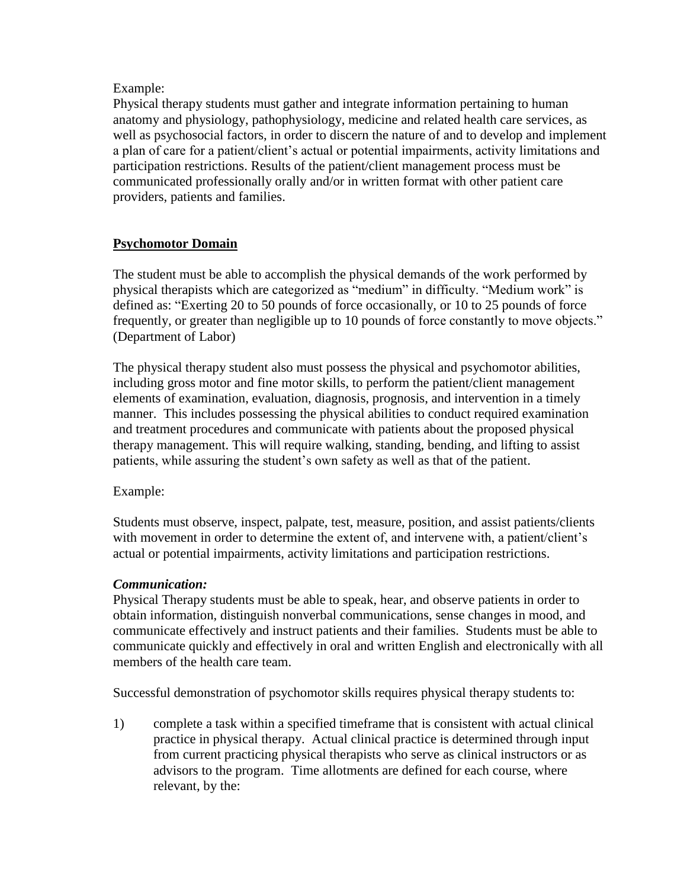## Example:

Physical therapy students must gather and integrate information pertaining to human anatomy and physiology, pathophysiology, medicine and related health care services, as well as psychosocial factors, in order to discern the nature of and to develop and implement a plan of care for a patient/client's actual or potential impairments, activity limitations and participation restrictions. Results of the patient/client management process must be communicated professionally orally and/or in written format with other patient care providers, patients and families.

## **Psychomotor Domain**

The student must be able to accomplish the physical demands of the work performed by physical therapists which are categorized as "medium" in difficulty. "Medium work" is defined as: "Exerting 20 to 50 pounds of force occasionally, or 10 to 25 pounds of force frequently, or greater than negligible up to 10 pounds of force constantly to move objects." (Department of Labor)

The physical therapy student also must possess the physical and psychomotor abilities, including gross motor and fine motor skills, to perform the patient/client management elements of examination, evaluation, diagnosis, prognosis, and intervention in a timely manner. This includes possessing the physical abilities to conduct required examination and treatment procedures and communicate with patients about the proposed physical therapy management. This will require walking, standing, bending, and lifting to assist patients, while assuring the student's own safety as well as that of the patient.

## Example:

Students must observe, inspect, palpate, test, measure, position, and assist patients/clients with movement in order to determine the extent of, and intervene with, a patient/client's actual or potential impairments, activity limitations and participation restrictions.

## *Communication:*

Physical Therapy students must be able to speak, hear, and observe patients in order to obtain information, distinguish nonverbal communications, sense changes in mood, and communicate effectively and instruct patients and their families. Students must be able to communicate quickly and effectively in oral and written English and electronically with all members of the health care team.

Successful demonstration of psychomotor skills requires physical therapy students to:

1) complete a task within a specified timeframe that is consistent with actual clinical practice in physical therapy. Actual clinical practice is determined through input from current practicing physical therapists who serve as clinical instructors or as advisors to the program. Time allotments are defined for each course, where relevant, by the: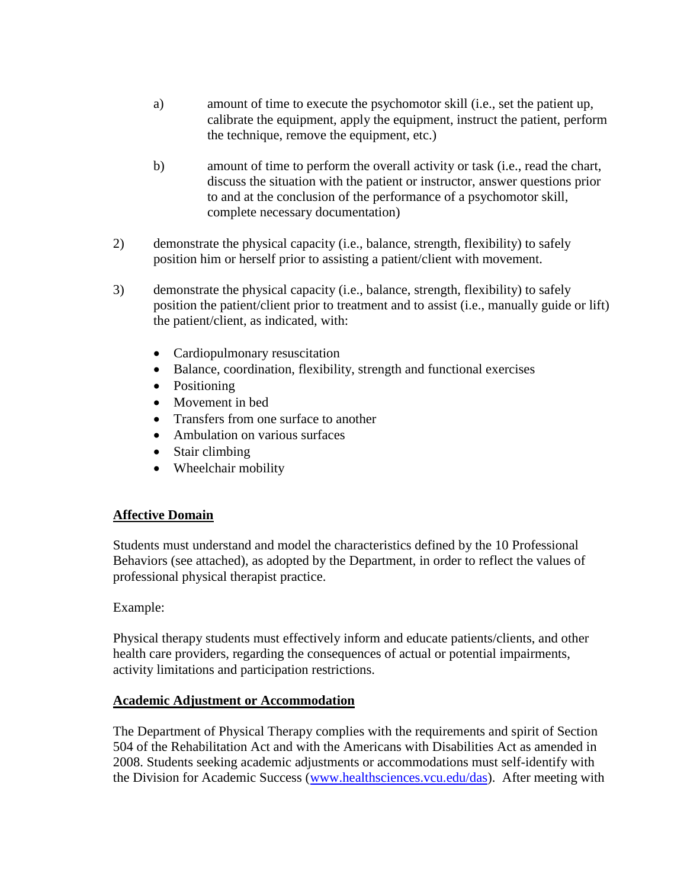- a) amount of time to execute the psychomotor skill (i.e., set the patient up, calibrate the equipment, apply the equipment, instruct the patient, perform the technique, remove the equipment, etc.)
- b) amount of time to perform the overall activity or task (i.e., read the chart, discuss the situation with the patient or instructor, answer questions prior to and at the conclusion of the performance of a psychomotor skill, complete necessary documentation)
- 2) demonstrate the physical capacity (i.e., balance, strength, flexibility) to safely position him or herself prior to assisting a patient/client with movement.
- 3) demonstrate the physical capacity (i.e., balance, strength, flexibility) to safely position the patient/client prior to treatment and to assist (i.e., manually guide or lift) the patient/client, as indicated, with:
	- Cardiopulmonary resuscitation
	- Balance, coordination, flexibility, strength and functional exercises
	- Positioning
	- Movement in bed
	- Transfers from one surface to another
	- Ambulation on various surfaces
	- Stair climbing
	- Wheelchair mobility

#### **Affective Domain**

Students must understand and model the characteristics defined by the 10 Professional Behaviors (see attached), as adopted by the Department, in order to reflect the values of professional physical therapist practice.

#### Example:

Physical therapy students must effectively inform and educate patients/clients, and other health care providers, regarding the consequences of actual or potential impairments, activity limitations and participation restrictions.

#### **Academic Adjustment or Accommodation**

The Department of Physical Therapy complies with the requirements and spirit of Section 504 of the Rehabilitation Act and with the Americans with Disabilities Act as amended in 2008. Students seeking academic adjustments or accommodations must self-identify with the Division for Academic Success [\(www.healthsciences.vcu.edu/das\)](http://www.healthsciences.vcu.edu/das). After meeting with